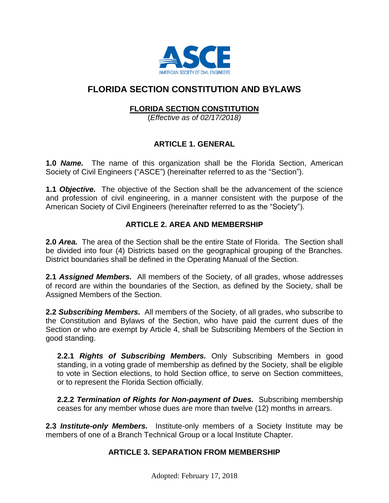

# **FLORIDA SECTION CONSTITUTION AND BYLAWS**

## **FLORIDA SECTION CONSTITUTION**

(*Effective as of 02/17/2018)*

## **ARTICLE 1. GENERAL**

**1.0** *Name.* The name of this organization shall be the Florida Section, American Society of Civil Engineers ("ASCE") (hereinafter referred to as the "Section").

**1.1** *Objective.*The objective of the Section shall be the advancement of the science and profession of civil engineering, in a manner consistent with the purpose of the American Society of Civil Engineers (hereinafter referred to as the "Society").

### **ARTICLE 2. AREA AND MEMBERSHIP**

**2.0** *Area.*The area of the Section shall be the entire State of Florida. The Section shall be divided into four (4) Districts based on the geographical grouping of the Branches. District boundaries shall be defined in the Operating Manual of the Section.

**2.1** *Assigned Members.*All members of the Society, of all grades, whose addresses of record are within the boundaries of the Section, as defined by the Society, shall be Assigned Members of the Section.

**2.2** *Subscribing Members.*All members of the Society, of all grades, who subscribe to the Constitution and Bylaws of the Section, who have paid the current dues of the Section or who are exempt by Article 4, shall be Subscribing Members of the Section in good standing.

**2.2.1** *Rights of Subscribing Members.* Only Subscribing Members in good standing, in a voting grade of membership as defined by the Society, shall be eligible to vote in Section elections, to hold Section office, to serve on Section committees, or to represent the Florida Section officially.

**2.2.2** *Termination of Rights for Non-payment of Dues.* Subscribing membership ceases for any member whose dues are more than twelve (12) months in arrears.

**2.3** *Institute-only Members.*Institute-only members of a Society Institute may be members of one of a Branch Technical Group or a local Institute Chapter.

#### **ARTICLE 3. SEPARATION FROM MEMBERSHIP**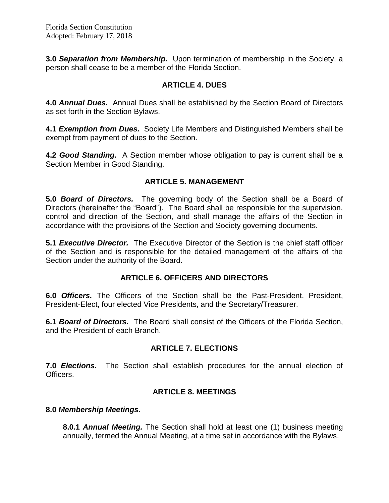**3.0 Separation from Membership.** Upon termination of membership in the Society, a person shall cease to be a member of the Florida Section.

### **ARTICLE 4. DUES**

**4.0** *Annual Dues.* Annual Dues shall be established by the Section Board of Directors as set forth in the Section Bylaws.

**4.1** *Exemption from Dues.*Society Life Members and Distinguished Members shall be exempt from payment of dues to the Section.

**4.2** *Good Standing.*A Section member whose obligation to pay is current shall be a Section Member in Good Standing.

## **ARTICLE 5. MANAGEMENT**

**5.0** *Board of Directors.* The governing body of the Section shall be a Board of Directors (hereinafter the "Board"). The Board shall be responsible for the supervision, control and direction of the Section, and shall manage the affairs of the Section in accordance with the provisions of the Section and Society governing documents.

**5.1** *Executive Director.* The Executive Director of the Section is the chief staff officer of the Section and is responsible for the detailed management of the affairs of the Section under the authority of the Board.

#### **ARTICLE 6. OFFICERS AND DIRECTORS**

**6.0** *Officers.* The Officers of the Section shall be the Past-President, President, President-Elect, four elected Vice Presidents, and the Secretary/Treasurer.

**6.1** *Board of Directors.*The Board shall consist of the Officers of the Florida Section, and the President of each Branch.

## **ARTICLE 7. ELECTIONS**

**7.0** *Elections.* The Section shall establish procedures for the annual election of Officers.

#### **ARTICLE 8. MEETINGS**

#### **8.0** *Membership Meetings.*

**8.0.1** *Annual Meeting.* The Section shall hold at least one (1) business meeting annually, termed the Annual Meeting, at a time set in accordance with the Bylaws.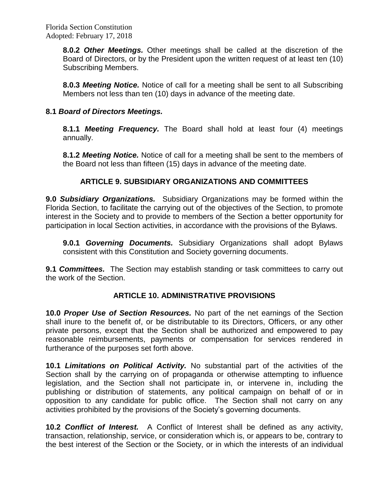Florida Section Constitution Adopted: February 17, 2018

> **8.0.2** *Other Meetings.* Other meetings shall be called at the discretion of the Board of Directors, or by the President upon the written request of at least ten (10) Subscribing Members.

> **8.0.3** *Meeting Notice.* Notice of call for a meeting shall be sent to all Subscribing Members not less than ten (10) days in advance of the meeting date.

### **8.1** *Board of Directors Meetings.*

**8.1.1** *Meeting Frequency.* The Board shall hold at least four (4) meetings annually.

**8.1.2** *Meeting Notice.* Notice of call for a meeting shall be sent to the members of the Board not less than fifteen (15) days in advance of the meeting date*.*

## **ARTICLE 9. SUBSIDIARY ORGANIZATIONS AND COMMITTEES**

**9.0** *Subsidiary Organizations.* Subsidiary Organizations may be formed within the Florida Section, to facilitate the carrying out of the objectives of the Section, to promote interest in the Society and to provide to members of the Section a better opportunity for participation in local Section activities, in accordance with the provisions of the Bylaws.

**9.0.1** *Governing Documents.* Subsidiary Organizations shall adopt Bylaws consistent with this Constitution and Society governing documents.

**9.1** *Committees.* The Section may establish standing or task committees to carry out the work of the Section.

#### **ARTICLE 10. ADMINISTRATIVE PROVISIONS**

**10.0** *Proper Use of Section Resources.* No part of the net earnings of the Section shall inure to the benefit of, or be distributable to its Directors, Officers, or any other private persons, except that the Section shall be authorized and empowered to pay reasonable reimbursements, payments or compensation for services rendered in furtherance of the purposes set forth above.

**10.1** *Limitations on Political Activity.* No substantial part of the activities of the Section shall by the carrying on of propaganda or otherwise attempting to influence legislation, and the Section shall not participate in, or intervene in, including the publishing or distribution of statements, any political campaign on behalf of or in opposition to any candidate for public office. The Section shall not carry on any activities prohibited by the provisions of the Society's governing documents.

**10.2** *Conflict of Interest.* A Conflict of Interest shall be defined as any activity, transaction, relationship, service, or consideration which is, or appears to be, contrary to the best interest of the Section or the Society, or in which the interests of an individual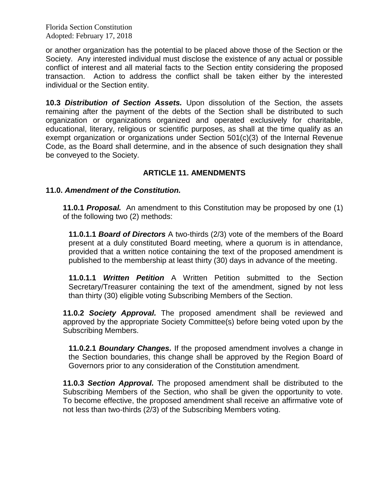Florida Section Constitution Adopted: February 17, 2018

or another organization has the potential to be placed above those of the Section or the Society. Any interested individual must disclose the existence of any actual or possible conflict of interest and all material facts to the Section entity considering the proposed transaction. Action to address the conflict shall be taken either by the interested individual or the Section entity.

**10.3** *Distribution of Section Assets.* Upon dissolution of the Section, the assets remaining after the payment of the debts of the Section shall be distributed to such organization or organizations organized and operated exclusively for charitable, educational, literary, religious or scientific purposes, as shall at the time qualify as an exempt organization or organizations under Section 501(c)(3) of the Internal Revenue Code, as the Board shall determine, and in the absence of such designation they shall be conveyed to the Society.

## **ARTICLE 11. AMENDMENTS**

#### **11.0.** *Amendment of the Constitution.*

**11.0.1** *Proposal.* An amendment to this Constitution may be proposed by one (1) of the following two (2) methods:

**11.0.1.1** *Board of Directors* A two-thirds (2/3) vote of the members of the Board present at a duly constituted Board meeting, where a quorum is in attendance, provided that a written notice containing the text of the proposed amendment is published to the membership at least thirty (30) days in advance of the meeting.

**11.0.1.1** *Written Petition* A Written Petition submitted to the Section Secretary/Treasurer containing the text of the amendment, signed by not less than thirty (30) eligible voting Subscribing Members of the Section.

**11.0.2** *Society Approval.* The proposed amendment shall be reviewed and approved by the appropriate Society Committee(s) before being voted upon by the Subscribing Members.

**11.0.2.1** *Boundary Changes.* If the proposed amendment involves a change in the Section boundaries, this change shall be approved by the Region Board of Governors prior to any consideration of the Constitution amendment.

**11.0.3** *Section Approval.* The proposed amendment shall be distributed to the Subscribing Members of the Section, who shall be given the opportunity to vote. To become effective, the proposed amendment shall receive an affirmative vote of not less than two-thirds (2/3) of the Subscribing Members voting.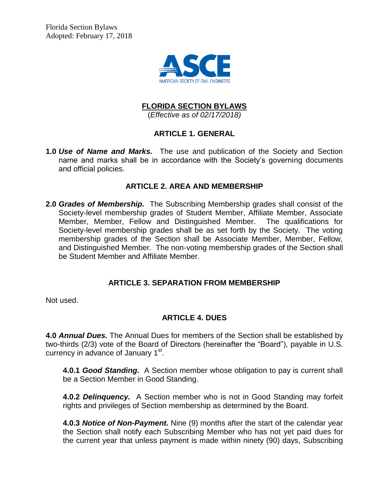Florida Section Bylaws Adopted: February 17, 2018



## **FLORIDA SECTION BYLAWS**

(*Effective as of 02/17/2018)*

### **ARTICLE 1. GENERAL**

**1.0** *Use of Name and Marks.* The use and publication of the Society and Section name and marks shall be in accordance with the Society's governing documents and official policies.

#### **ARTICLE 2. AREA AND MEMBERSHIP**

**2.0** *Grades of Membership.* The Subscribing Membership grades shall consist of the Society-level membership grades of Student Member, Affiliate Member, Associate Member, Member, Fellow and Distinguished Member. The qualifications for Society-level membership grades shall be as set forth by the Society. The voting membership grades of the Section shall be Associate Member, Member, Fellow, and Distinguished Member. The non-voting membership grades of the Section shall be Student Member and Affiliate Member.

## **ARTICLE 3. SEPARATION FROM MEMBERSHIP**

Not used.

## **ARTICLE 4. DUES**

**4.0** *Annual Dues.* The Annual Dues for members of the Section shall be established by two-thirds (2/3) vote of the Board of Directors (hereinafter the "Board"), payable in U.S. currency in advance of January 1<sup>st</sup>.

**4.0.1** *Good Standing.* A Section member whose obligation to pay is current shall be a Section Member in Good Standing.

**4.0.2** *Delinquency.* A Section member who is not in Good Standing may forfeit rights and privileges of Section membership as determined by the Board.

**4.0.3** *Notice of Non-Payment.* Nine (9) months after the start of the calendar year the Section shall notify each Subscribing Member who has not yet paid dues for the current year that unless payment is made within ninety (90) days, Subscribing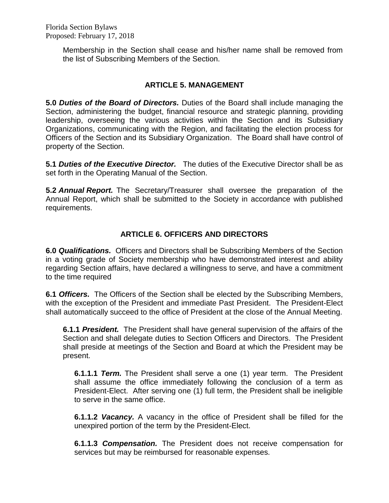Membership in the Section shall cease and his/her name shall be removed from the list of Subscribing Members of the Section.

## **ARTICLE 5. MANAGEMENT**

**5.0** *Duties of the Board of Directors.* Duties of the Board shall include managing the Section, administering the budget, financial resource and strategic planning, providing leadership, overseeing the various activities within the Section and its Subsidiary Organizations, communicating with the Region, and facilitating the election process for Officers of the Section and its Subsidiary Organization. The Board shall have control of property of the Section.

**5.1** *Duties of the Executive Director.* The duties of the Executive Director shall be as set forth in the Operating Manual of the Section.

**5.2** *Annual Report.* The Secretary/Treasurer shall oversee the preparation of the Annual Report, which shall be submitted to the Society in accordance with published requirements.

## **ARTICLE 6. OFFICERS AND DIRECTORS**

**6.0** *Qualifications.* Officers and Directors shall be Subscribing Members of the Section in a voting grade of Society membership who have demonstrated interest and ability regarding Section affairs, have declared a willingness to serve, and have a commitment to the time required

**6.1** *Officers.* The Officers of the Section shall be elected by the Subscribing Members, with the exception of the President and immediate Past President. The President-Elect shall automatically succeed to the office of President at the close of the Annual Meeting.

**6.1.1** *President.* The President shall have general supervision of the affairs of the Section and shall delegate duties to Section Officers and Directors. The President shall preside at meetings of the Section and Board at which the President may be present.

**6.1.1.1** *Term.* The President shall serve a one (1) year term. The President shall assume the office immediately following the conclusion of a term as President-Elect. After serving one (1) full term, the President shall be ineligible to serve in the same office.

**6.1.1.2** *Vacancy.* A vacancy in the office of President shall be filled for the unexpired portion of the term by the President-Elect.

**6.1.1.3** *Compensation.* The President does not receive compensation for services but may be reimbursed for reasonable expenses.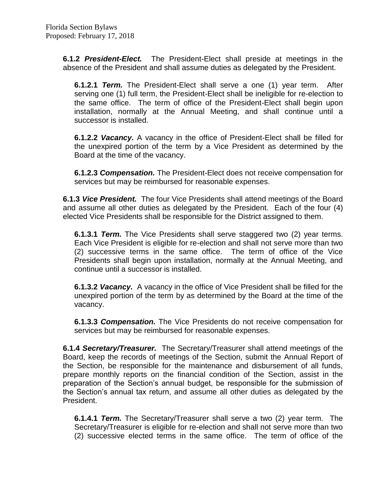**6.1.2** *President-Elect.* The President-Elect shall preside at meetings in the absence of the President and shall assume duties as delegated by the President.

**6.1.2.1** *Term.* The President-Elect shall serve a one (1) year term. After serving one (1) full term, the President-Elect shall be ineligible for re-election to the same office. The term of office of the President-Elect shall begin upon installation, normally at the Annual Meeting, and shall continue until a successor is installed.

**6.1.2.2** *Vacancy.* A vacancy in the office of President-Elect shall be filled for the unexpired portion of the term by a Vice President as determined by the Board at the time of the vacancy.

**6.1.2.3** *Compensation.* The President-Elect does not receive compensation for services but may be reimbursed for reasonable expenses.

**6.1.3** *Vice President.* The four Vice Presidents shall attend meetings of the Board and assume all other duties as delegated by the President. Each of the four (4) elected Vice Presidents shall be responsible for the District assigned to them.

**6.1.3.1** *Term.* The Vice Presidents shall serve staggered two (2) year terms. Each Vice President is eligible for re-election and shall not serve more than two (2) successive terms in the same office. The term of office of the Vice Presidents shall begin upon installation, normally at the Annual Meeting, and continue until a successor is installed.

**6.1.3.2** *Vacancy.* A vacancy in the office of Vice President shall be filled for the unexpired portion of the term by as determined by the Board at the time of the vacancy.

**6.1.3.3** *Compensation.* The Vice Presidents do not receive compensation for services but may be reimbursed for reasonable expenses.

**6.1.4** *Secretary/Treasurer.* The Secretary/Treasurer shall attend meetings of the Board, keep the records of meetings of the Section, submit the Annual Report of the Section, be responsible for the maintenance and disbursement of all funds, prepare monthly reports on the financial condition of the Section, assist in the preparation of the Section's annual budget, be responsible for the submission of the Section's annual tax return, and assume all other duties as delegated by the President.

**6.1.4.1** *Term.* The Secretary/Treasurer shall serve a two (2) year term. The Secretary/Treasurer is eligible for re-election and shall not serve more than two (2) successive elected terms in the same office. The term of office of the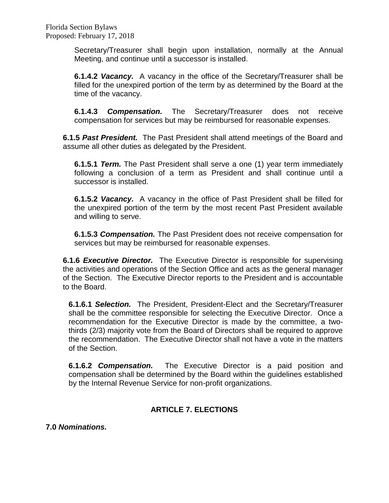Secretary/Treasurer shall begin upon installation, normally at the Annual Meeting, and continue until a successor is installed.

**6.1.4.2** *Vacancy.* A vacancy in the office of the Secretary/Treasurer shall be filled for the unexpired portion of the term by as determined by the Board at the time of the vacancy.

**6.1.4.3** *Compensation.* The Secretary/Treasurer does not receive compensation for services but may be reimbursed for reasonable expenses.

**6.1.5** *Past President.* The Past President shall attend meetings of the Board and assume all other duties as delegated by the President.

**6.1.5.1** *Term.* The Past President shall serve a one (1) year term immediately following a conclusion of a term as President and shall continue until a successor is installed.

**6.1.5.2** *Vacancy.* A vacancy in the office of Past President shall be filled for the unexpired portion of the term by the most recent Past President available and willing to serve.

**6.1.5.3** *Compensation.* The Past President does not receive compensation for services but may be reimbursed for reasonable expenses.

**6.1.6** *Executive Director.* The Executive Director is responsible for supervising the activities and operations of the Section Office and acts as the general manager of the Section. The Executive Director reports to the President and is accountable to the Board.

**6.1.6.1** *Selection.* The President, President-Elect and the Secretary/Treasurer shall be the committee responsible for selecting the Executive Director. Once a recommendation for the Executive Director is made by the committee, a twothirds (2/3) majority vote from the Board of Directors shall be required to approve the recommendation. The Executive Director shall not have a vote in the matters of the Section.

**6.1.6.2** *Compensation.* The Executive Director is a paid position and compensation shall be determined by the Board within the guidelines established by the Internal Revenue Service for non-profit organizations.

## **ARTICLE 7. ELECTIONS**

**7.0** *Nominations.*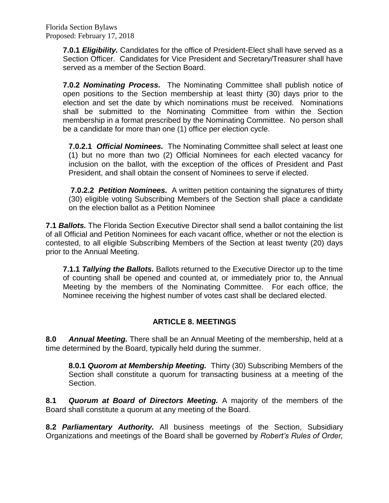Florida Section Bylaws Proposed: February 17, 2018

> **7.0.1** *Eligibility.* Candidates for the office of President-Elect shall have served as a Section Officer. Candidates for Vice President and Secretary/Treasurer shall have served as a member of the Section Board.

> **7.0.2** *Nominating Process.* The Nominating Committee shall publish notice of open positions to the Section membership at least thirty (30) days prior to the election and set the date by which nominations must be received. Nominations shall be submitted to the Nominating Committee from within the Section membership in a format prescribed by the Nominating Committee. No person shall be a candidate for more than one (1) office per election cycle.

**7.0.2.1** *Official Nominees.* The Nominating Committee shall select at least one (1) but no more than two (2) Official Nominees for each elected vacancy for inclusion on the ballot, with the exception of the offices of President and Past President, and shall obtain the consent of Nominees to serve if elected.

**7.0.2.2** *Petition Nominees.* A written petition containing the signatures of thirty (30) eligible voting Subscribing Members of the Section shall place a candidate on the election ballot as a Petition Nominee

**7.1** *Ballots.* The Florida Section Executive Director shall send a ballot containing the list of all Official and Petition Nominees for each vacant office, whether or not the election is contested, to all eligible Subscribing Members of the Section at least twenty (20) days prior to the Annual Meeting.

**7.1.1** *Tallying the Ballots.* Ballots returned to the Executive Director up to the time of counting shall be opened and counted at, or immediately prior to, the Annual Meeting by the members of the Nominating Committee. For each office, the Nominee receiving the highest number of votes cast shall be declared elected.

## **ARTICLE 8. MEETINGS**

**8.0** *Annual Meeting.* There shall be an Annual Meeting of the membership, held at a time determined by the Board, typically held during the summer.

**8.0.1** *Quorom at Membership Meeting.* Thirty (30) Subscribing Members of the Section shall constitute a quorum for transacting business at a meeting of the Section.

**8.1** *Quorum at Board of Directors Meeting.* A majority of the members of the Board shall constitute a quorum at any meeting of the Board.

**8.2** *Parliamentary Authority.* All business meetings of the Section, Subsidiary Organizations and meetings of the Board shall be governed by *Robert's Rules of Order,*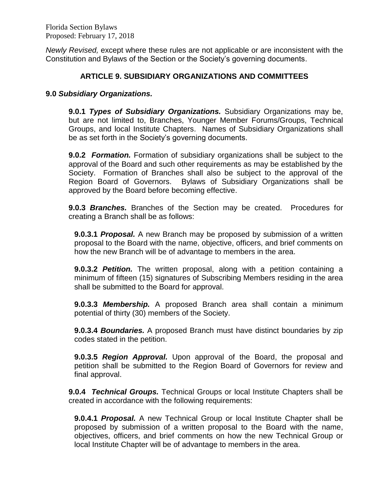Florida Section Bylaws Proposed: February 17, 2018

*Newly Revised,* except where these rules are not applicable or are inconsistent with the Constitution and Bylaws of the Section or the Society's governing documents.

#### **ARTICLE 9. SUBSIDIARY ORGANIZATIONS AND COMMITTEES**

#### **9.0** *Subsidiary Organizations.*

**9.0.1** *Types of Subsidiary Organizations.* Subsidiary Organizations may be, but are not limited to, Branches, Younger Member Forums/Groups, Technical Groups, and local Institute Chapters. Names of Subsidiary Organizations shall be as set forth in the Society's governing documents.

**9.0.2** *Formation.* Formation of subsidiary organizations shall be subject to the approval of the Board and such other requirements as may be established by the Society. Formation of Branches shall also be subject to the approval of the Region Board of Governors. Bylaws of Subsidiary Organizations shall be approved by the Board before becoming effective.

**9.0.3** *Branches.* Branches of the Section may be created. Procedures for creating a Branch shall be as follows:

**9.0.3.1** *Proposal.* A new Branch may be proposed by submission of a written proposal to the Board with the name, objective, officers, and brief comments on how the new Branch will be of advantage to members in the area.

**9.0.3.2** *Petition.* The written proposal, along with a petition containing a minimum of fifteen (15) signatures of Subscribing Members residing in the area shall be submitted to the Board for approval.

**9.0.3.3** *Membership.* A proposed Branch area shall contain a minimum potential of thirty (30) members of the Society.

**9.0.3.4** *Boundaries.* A proposed Branch must have distinct boundaries by zip codes stated in the petition.

**9.0.3.5** *Region Approval.* Upon approval of the Board, the proposal and petition shall be submitted to the Region Board of Governors for review and final approval.

**9.0.4** *Technical Groups.* Technical Groups or local Institute Chapters shall be created in accordance with the following requirements:

**9.0.4.1** *Proposal.* A new Technical Group or local Institute Chapter shall be proposed by submission of a written proposal to the Board with the name, objectives, officers, and brief comments on how the new Technical Group or local Institute Chapter will be of advantage to members in the area.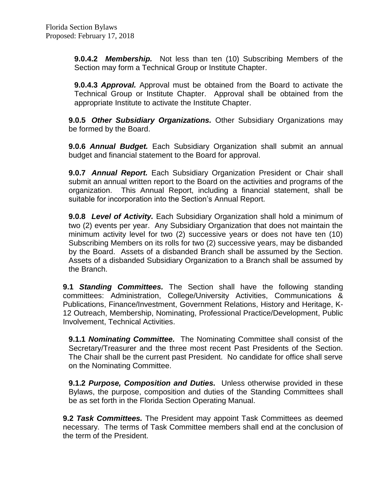**9.0.4.2** *Membership.* Not less than ten (10) Subscribing Members of the Section may form a Technical Group or Institute Chapter.

**9.0.4.3** *Approval.* Approval must be obtained from the Board to activate the Technical Group or Institute Chapter. Approval shall be obtained from the appropriate Institute to activate the Institute Chapter.

**9.0.5** *Other Subsidiary Organizations.* Other Subsidiary Organizations may be formed by the Board.

**9.0.6** *Annual Budget.* Each Subsidiary Organization shall submit an annual budget and financial statement to the Board for approval.

**9.0.7** *Annual Report.* Each Subsidiary Organization President or Chair shall submit an annual written report to the Board on the activities and programs of the organization. This Annual Report, including a financial statement, shall be suitable for incorporation into the Section's Annual Report.

**9.0.8** *Level of Activity.* Each Subsidiary Organization shall hold a minimum of two (2) events per year. Any Subsidiary Organization that does not maintain the minimum activity level for two (2) successive years or does not have ten (10) Subscribing Members on its rolls for two (2) successive years, may be disbanded by the Board. Assets of a disbanded Branch shall be assumed by the Section. Assets of a disbanded Subsidiary Organization to a Branch shall be assumed by the Branch.

**9.1** *Standing Committees.* The Section shall have the following standing committees: Administration, College/University Activities, Communications & Publications, Finance/Investment, Government Relations, History and Heritage, K-12 Outreach, Membership, Nominating, Professional Practice/Development, Public Involvement, Technical Activities.

**9.1.1** *Nominating Committee.* The Nominating Committee shall consist of the Secretary/Treasurer and the three most recent Past Presidents of the Section. The Chair shall be the current past President. No candidate for office shall serve on the Nominating Committee.

**9.1.2** *Purpose, Composition and Duties.* Unless otherwise provided in these Bylaws, the purpose, composition and duties of the Standing Committees shall be as set forth in the Florida Section Operating Manual.

**9.2** *Task Committees.* The President may appoint Task Committees as deemed necessary. The terms of Task Committee members shall end at the conclusion of the term of the President.